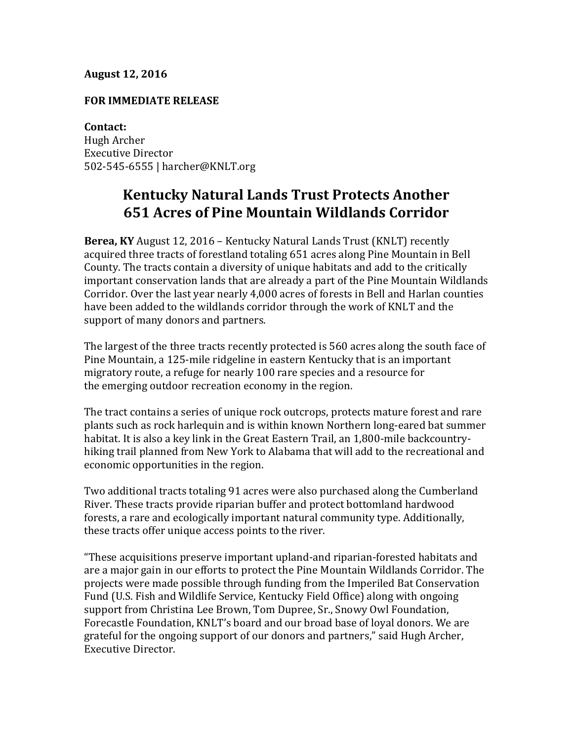## **August 12, 2016**

## **FOR IMMEDIATE RELEASE**

**Contact:** Hugh Archer Executive Director 502-545-6555 | harcher@KNLT.org

## **Kentucky Natural Lands Trust Protects Another 651 Acres of Pine Mountain Wildlands Corridor**

**Berea, KY** August 12, 2016 – Kentucky Natural Lands Trust (KNLT) recently acquired three tracts of forestland totaling 651 acres along Pine Mountain in Bell County. The tracts contain a diversity of unique habitats and add to the critically important conservation lands that are already a part of the Pine Mountain Wildlands Corridor. Over the last year nearly 4,000 acres of forests in Bell and Harlan counties have been added to the wildlands corridor through the work of KNLT and the support of many donors and partners.

The largest of the three tracts recently protected is 560 acres along the south face of Pine Mountain, a 125-mile ridgeline in eastern Kentucky that is an important migratory route, a refuge for nearly 100 rare species and a resource for the emerging outdoor recreation economy in the region.

The tract contains a series of unique rock outcrops, protects mature forest and rare plants such as rock harlequin and is within known Northern long-eared bat summer habitat. It is also a key link in the Great Eastern Trail, an 1,800-mile backcountryhiking trail planned from New York to Alabama that will add to the recreational and economic opportunities in the region.

Two additional tracts totaling 91 acres were also purchased along the Cumberland River. These tracts provide riparian buffer and protect bottomland hardwood forests, a rare and ecologically important natural community type. Additionally, these tracts offer unique access points to the river.

"These acquisitions preserve important upland-and riparian-forested habitats and are a major gain in our efforts to protect the Pine Mountain Wildlands Corridor. The projects were made possible through funding from the Imperiled Bat Conservation Fund (U.S. Fish and Wildlife Service, Kentucky Field Office) along with ongoing support from Christina Lee Brown, Tom Dupree, Sr., Snowy Owl Foundation, Forecastle Foundation, KNLT's board and our broad base of loyal donors. We are grateful for the ongoing support of our donors and partners," said Hugh Archer, Executive Director.